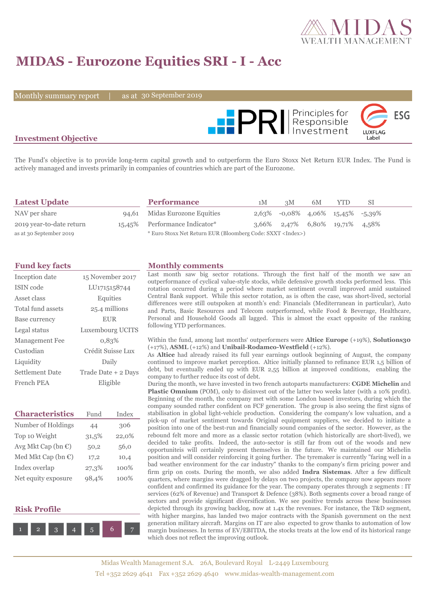

# **MIDAS - Eurozone Equities SRI - I - Acc**

Monthly summary report |

as at 30 September 2019



### **Investment Objective**

The Fund's objective is to provide long-term capital growth and to outperform the Euro Stoxx Net Return EUR Index. The Fund is actively managed and invests primarily in companies of countries which are part of the Eurozone.

| <b>Latest Update</b>     | <b>Performance</b>                                                 | 1M | 3M | 6M | YTD                                 | SI |
|--------------------------|--------------------------------------------------------------------|----|----|----|-------------------------------------|----|
| NAV per share            | 94,61 Midas Eurozone Equities                                      |    |    |    | $2,63\%$ -0,08% 4,06% 15,45% -5,39% |    |
| 2019 year-to-date return | 15,45% Performance Indicator*                                      |    |    |    | $3,66\%$ 2,47% 6,80% 19,71% 4,58%   |    |
| as at 30 September 2019  | * Euro Stoxx Net Return EUR (Bloomberg Code: SXXT <index>)</index> |    |    |    |                                     |    |

| Inception date        | 15 November 2017    |
|-----------------------|---------------------|
| ISIN code             | LU1715158744        |
| Asset class           | Equities            |
| Total fund assets     | 25.4 millions       |
| Base currency         | <b>EUR</b>          |
| Legal status          | Luxembourg UCITS    |
| <b>Management Fee</b> | 0.83%               |
| Custodian             | Crédit Suisse Lux   |
| Liquidity             | Daily               |
| Settlement Date       | Trade Date + 2 Days |
| French PEA            | Eligible            |

| <b>Characteristics</b>         | Fund  | Index |  |
|--------------------------------|-------|-------|--|
| Number of Holdings             | 44    | 306   |  |
| Top 10 Weight                  | 31,5% | 22,0% |  |
| Avg Mkt Cap (bn $\mathbb{C}$ ) | 50,2  | 56,0  |  |
| Med Mkt Cap (bn $\epsilon$ )   | 17,2  | 10,4  |  |
| Index overlap                  | 27,3% | 100%  |  |
| Net equity exposure            | 98.4% | 100%  |  |

#### **Risk Profile**



#### **Fund key facts Monthly comments**

Last month saw big sector rotations. Through the first half of the month we saw an outperformance of cyclical value-style stocks, while defensive growth stocks performed less. This rotation occurred during a period where market sentiment overall improved amid sustained Central Bank support. While this sector rotation, as is often the case, was short-lived, sectorial differences were still outspoken at month's end: Financials (Mediterranean in particular), Auto and Parts, Basic Resources and Telecom outperformed, while Food & Beverage, Healthcare, Personal and Household Goods all lagged. This is almost the exact opposite of the ranking following YTD performances.

#### Within the fund, among last months' outperformers were **Altice Europe** (+19%), **Solutions30**  (+17%), **ASML** (+12%) and **Unibail-Rodamco-Westfield** (+12%).

As **Altice** had already raised its full year earnings outlook beginning of August, the company continued to improve market perception. Altice initially planned to refinance EUR 1,5 billion of debt, but eventually ended up with EUR 2,55 billion at improved conditions, enabling the company to further reduce its cost of debt.

During the month, we have invested in two french autoparts manufacturers: **CGDE Michelin** and **Plastic Omnium** (POM), only to disinvest out of the latter two weeks later (with a 10% profit). Beginning of the month, the company met with some London based investors, during which the company sounded rather confident on FCF generation. The group is also seeing the first signs of stabilisation in global light-vehicle production. Considering the company's low valuation, and a pick-up of market sentiment towards Original equipment suppliers, we decided to initiate a position into one of the best-run and financially sound companies of the sector. However, as the rebound felt more and more as a classic sector rotation (which historically are short-lived), we decided to take profits. Indeed, the auto-sector is still far from out of the woods and new opportuniteis will certainly present themselves in the future. We maintained our Michelin position and will consider reinforcing it going further. The tyremaker is currently "faring well in a bad weather environment for the car industry" thanks to the company's firm pricing power and firm grip on costs. During the month, we also added **Indra Sistemas**. After a few difficult quarters, where margins were dragged by delays on two projects, the company now appears more confident and confirmed its guidance for the year. The company operates through 2 segments : IT services (62% of Revenue) and Transport & Defence (38%). Both segments cover a broad range of sectors and provide significant diversification. We see positive trends across these businesses depicted through its growing backlog, now at 1.4x the revenues. For instance, the T&D segment, with higher margins, has landed two major contracts with the Spanish government on the next generation military aircraft. Margins on IT are also expected to grow thanks to automation of low margin businesses. In terms of EV/EBITDA, the stocks treats at the low end of its historical range which does not reflect the improving outlook.